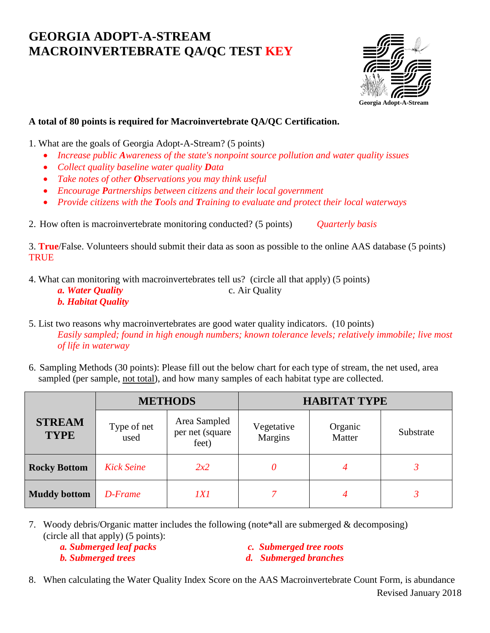## **GEORGIA ADOPT-A-STREAM MACROINVERTEBRATE QA/QC TEST KEY**



## **A total of 80 points is required for Macroinvertebrate QA/QC Certification.**

1. What are the goals of Georgia Adopt-A-Stream? (5 points)

- Increase public Awareness of the state's nonpoint source pollution and water quality issues
- *Collect quality baseline water quality Data*
- *Take notes of other Observations you may think useful*
- *Encourage Partnerships between citizens and their local government*
- *Provide citizens with the Tools and Training to evaluate and protect their local waterways*

2. How often is macroinvertebrate monitoring conducted? (5 points) *Quarterly basis*

3. **True**/False. Volunteers should submit their data as soon as possible to the online AAS database (5 points) **TRUE** 

4. What can monitoring with macroinvertebrates tell us? (circle all that apply) (5 points)

*a. Water Quality c. Air Quality c. Air Quality b. Habitat Quality* 

6. Sampling Methods (30 points): Please fill out the below chart for each type of stream, the net used, area sampled (per sample, not total), and how many samples of each habitat type are collected.

|                              | <b>METHODS</b>      |                                          | <b>HABITAT TYPE</b>   |                   |           |
|------------------------------|---------------------|------------------------------------------|-----------------------|-------------------|-----------|
| <b>STREAM</b><br><b>TYPE</b> | Type of net<br>used | Area Sampled<br>per net (square<br>feet) | Vegetative<br>Margins | Organic<br>Matter | Substrate |
| <b>Rocky Bottom</b>          | <b>Kick Seine</b>   | 2x2                                      | 0                     |                   |           |
| <b>Muddy bottom</b>          | D-Frame             | IXI                                      |                       | 4                 |           |

7. Woody debris/Organic matter includes the following (note\*all are submerged & decomposing) (circle all that apply) (5 points):

 *a. Submerged leaf packs c. Submerged tree roots*

**b. Submerged trees** d. Submerged branches

 Revised January 2018 8. When calculating the Water Quality Index Score on the AAS Macroinvertebrate Count Form, is abundance

<sup>5.</sup> List two reasons why macroinvertebrates are good water quality indicators. (10 points) *Easily sampled; found in high enough numbers; known tolerance levels; relatively immobile; live most of life in waterway*